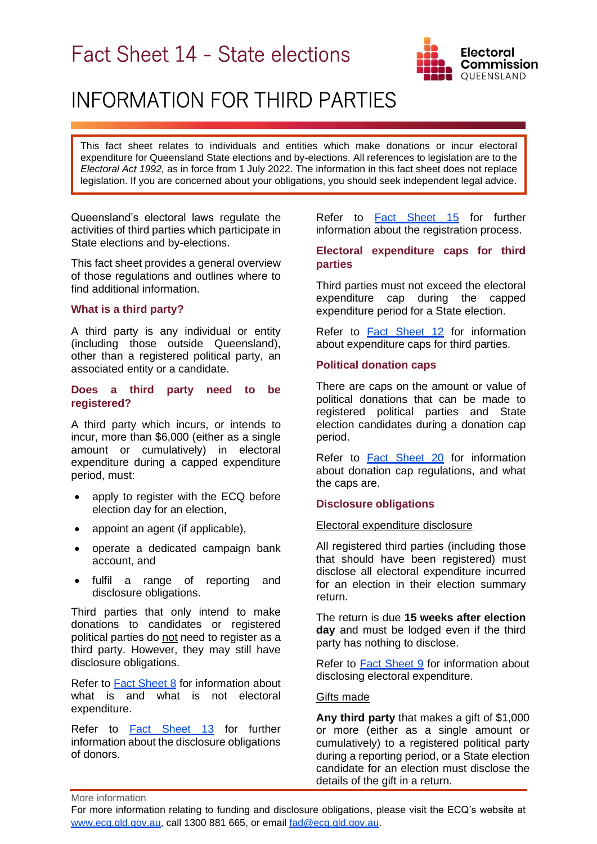# Fact Sheet 14 - State elections



## INFORMATION FOR THIRD PARTIES

This fact sheet relates to individuals and entities which make donations or incur electoral expenditure for Queensland State elections and by-elections. All references to legislation are to the *Electoral Act 1992,* as in force from 1 July 2022. The information in this fact sheet does not replace legislation. If you are concerned about your obligations, you should seek independent legal advice.

Queensland's electoral laws regulate the activities of third parties which participate in State elections and by-elections.

This fact sheet provides a general overview of those regulations and outlines where to find additional information.

## **What is a third party?**

A third party is any individual or entity (including those outside Queensland), other than a registered political party, an associated entity or a candidate.

#### **Does a third party need to be registered?**

A third party which incurs, or intends to incur, more than \$6,000 (either as a single amount or cumulatively) in electoral expenditure during a capped expenditure period, must:

- apply to register with the ECQ before election day for an election,
- appoint an agent (if applicable),
- operate a dedicated campaign bank account, and
- fulfil a range of reporting and disclosure obligations.

Third parties that only intend to make donations to candidates or registered political parties do not need to register as a third party. However, they may still have disclosure obligations.

Refer to [Fact Sheet 8](https://www.ecq.qld.gov.au/election-participants/handbooks,-fact-sheets-and-forms) for information about what is and what is not electoral expenditure.

Refer to [Fact Sheet 13](https://www.ecq.qld.gov.au/election-participants/handbooks,-fact-sheets-and-forms) for further information about the disclosure obligations of donors.

Refer to [Fact Sheet 15](https://www.ecq.qld.gov.au/election-participants/handbooks,-fact-sheets-and-forms) for further information about the registration process.

## **Electoral expenditure caps for third parties**

Third parties must not exceed the electoral expenditure cap during the capped expenditure period for a State election.

Refer to **[Fact Sheet 12](https://www.ecq.qld.gov.au/election-participants/handbooks,-fact-sheets-and-forms)** for information about expenditure caps for third parties.

## **Political donation caps**

There are caps on the amount or value of political donations that can be made to registered political parties and State election candidates during a donation cap period.

Refer to Fact [Sheet 2](https://www.ecq.qld.gov.au/election-participants/handbooks,-fact-sheets-and-forms)0 for information about donation cap regulations, and what the caps are.

## **Disclosure obligations**

#### Electoral expenditure disclosure

All registered third parties (including those that should have been registered) must disclose all electoral expenditure incurred for an election in their election summary return.

The return is due **15 weeks after election day** and must be lodged even if the third party has nothing to disclose.

Refer to [Fact Sheet 9](https://www.ecq.qld.gov.au/election-participants/handbooks,-fact-sheets-and-forms) for information about disclosing electoral expenditure.

#### Gifts made

**Any third party** that makes a gift of \$1,000 or more (either as a single amount or cumulatively) to a registered political party during a reporting period, or a State election candidate for an election must disclose the details of the gift in a return.

More information

For more information relating to funding and disclosure obligations, please visit the ECQ's website at [www.ecq.qld.gov.au,](http://www.ecq.qld.gov.au/) call 1300 881 665, or email [fad@ecq.qld.gov.au.](mailto:fad@ecq.qld.gov.au)